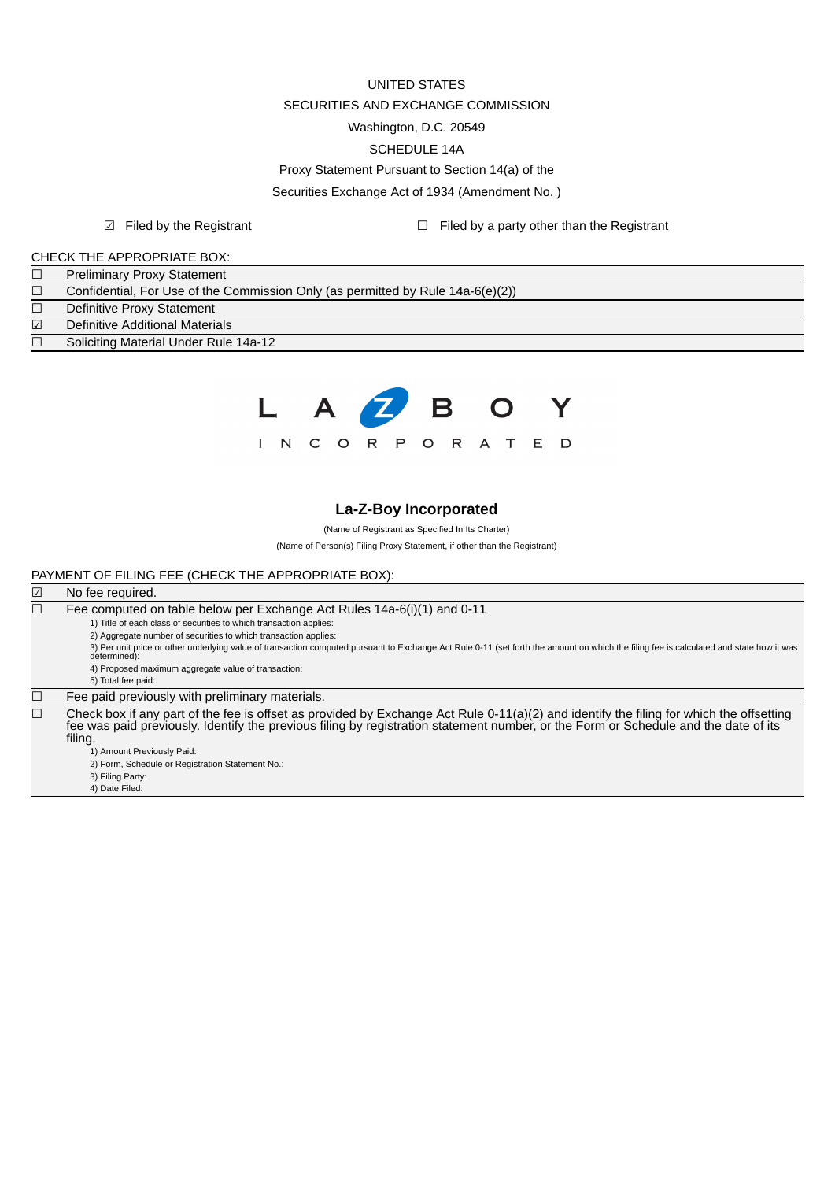# UNITED STATES SECURITIES AND EXCHANGE COMMISSION Washington, D.C. 20549 SCHEDULE 14A Proxy Statement Pursuant to Section 14(a) of the Securities Exchange Act of 1934 (Amendment No. )

☑ Filed by the Registrant ☐ Filed by a party other than the Registrant

### CHECK THE APPROPRIATE BOX:

|            | <b>Preliminary Proxy Statement</b>                                                 |
|------------|------------------------------------------------------------------------------------|
|            | Confidential, For Use of the Commission Only (as permitted by Rule $14a-6(e)(2)$ ) |
|            | Definitive Proxy Statement                                                         |
| $\sqrt{ }$ | Definitive Additional Materials                                                    |
|            | Soliciting Material Under Rule 14a-12                                              |



## **La-Z-Boy Incorporated**

(Name of Registrant as Specified In Its Charter)

(Name of Person(s) Filing Proxy Statement, if other than the Registrant)

#### PAYMENT OF FILING FEE (CHECK THE APPROPRIATE BOX):

#### ☑ No fee required.  $\Box$  Fee computed on table below per Exchange Act Rules 14a-6(i)(1) and 0-11 1) Title of each class of securities to which transaction applies: 2) Aggregate number of securities to which transaction applies: 3) Per unit price or other underlying value of transaction computed pursuant to Exchange Act Rule 0-11 (set forth the amount on which the filing fee is calculated and state how it was determined): 4) Proposed maximum aggregate value of transaction: 5) Total fee paid:  $\Box$  Fee paid previously with preliminary materials.  $\Box$  Check box if any part of the fee is offset as provided by Exchange Act Rule 0-11(a)(2) and identify the filing for which the offsetting fee was paid previously. Identify the previous filing by registration statement number, or the Form or Schedule and the date of its filing. 1) Amount Previously Paid: 2) Form, Schedule or Registration Statement No.: 3) Filing Party: 4) Date Filed: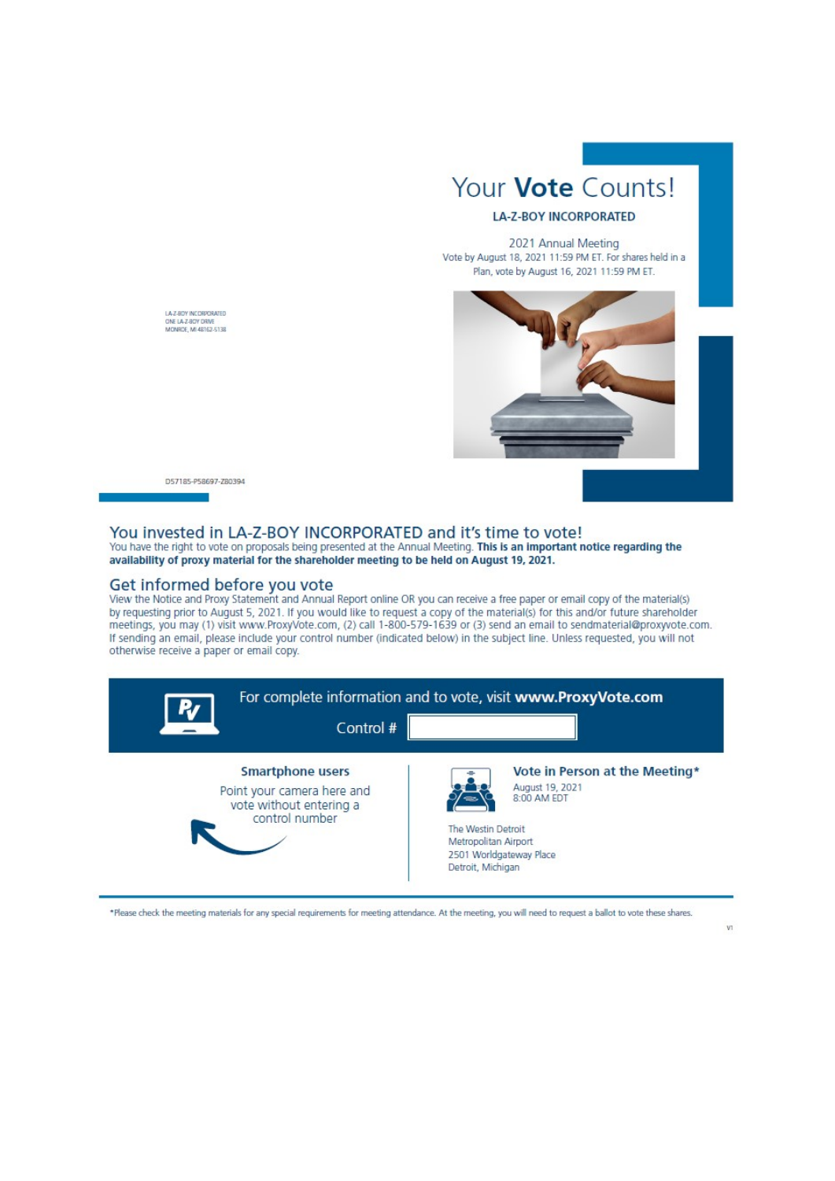

## **LA-Z-BOY INCORPORATED**

2021 Annual Meeting Vote by August 18, 2021 11:59 PM ET. For shares held in a Plan, vote by August 16, 2021 11:59 PM ET.



D57185-P58697-Z80394

LAZ-ROY INCORRORATED ONE LA-Z-BOY DRIVE<br>MONROE, MI 48162-5138

## You invested in LA-Z-BOY INCORPORATED and it's time to vote!

You have the right to vote on proposals being presented at the Annual Meeting. This is an important notice regarding the availability of proxy material for the shareholder meeting to be held on August 19, 2021.

#### Get informed before you vote

View the Notice and Proxy Statement and Annual Report online OR you can receive a free paper or email copy of the material(s) by requesting prior to August 5, 2021. If you would like to request a copy of the material(s) for this and/or future shareholder<br>meetings, you may (1) visit www.ProxyVote.com, (2) call 1-800-579-1639 or (3) send an email t If sending an email, please include your control number (indicated below) in the subject line. Unless requested, you will not otherwise receive a paper or email copy.



\*Please check the meeting materials for any special requirements for meeting attendance. At the meeting, you will need to request a ballot to vote these shares.

 $V1$